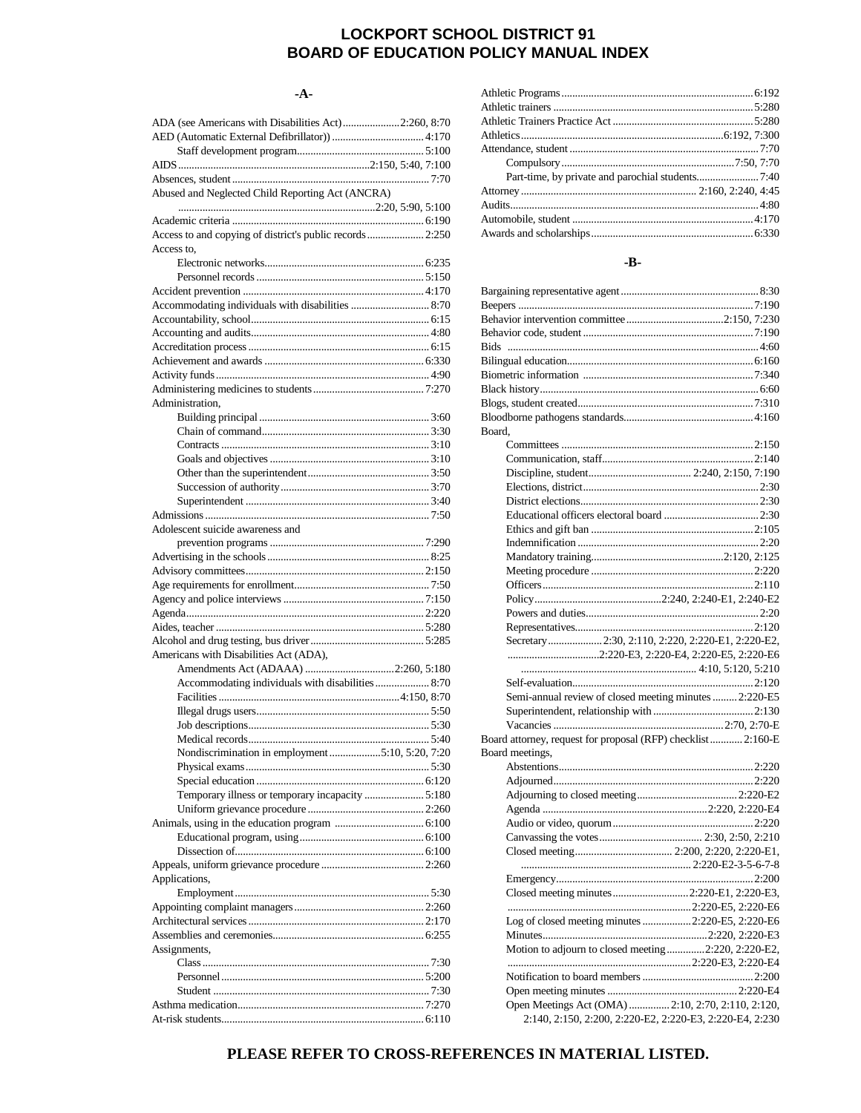## **LOCKPORT SCHOOL DISTRICT 91 BOARD OF EDUCATION POLICY MANUAL INDEX**

#### **-A-**

| ADA (see Americans with Disabilities Act) 2:260, 8:70     |  |
|-----------------------------------------------------------|--|
|                                                           |  |
|                                                           |  |
|                                                           |  |
|                                                           |  |
| Abused and Neglected Child Reporting Act (ANCRA)          |  |
|                                                           |  |
|                                                           |  |
| Access to and copying of district's public records  2:250 |  |
| Access to.                                                |  |
|                                                           |  |
|                                                           |  |
|                                                           |  |
| Accommodating individuals with disabilities  8:70         |  |
|                                                           |  |
|                                                           |  |
|                                                           |  |
|                                                           |  |
|                                                           |  |
|                                                           |  |
| Administration.                                           |  |
|                                                           |  |
|                                                           |  |
|                                                           |  |
|                                                           |  |
|                                                           |  |
|                                                           |  |
|                                                           |  |
|                                                           |  |
| Adolescent suicide awareness and                          |  |
|                                                           |  |
|                                                           |  |
|                                                           |  |
|                                                           |  |
|                                                           |  |
|                                                           |  |
|                                                           |  |
| Americans with Disabilities Act (ADA),                    |  |
|                                                           |  |
| Accommodating individuals with disabilities  8:70         |  |
|                                                           |  |
|                                                           |  |
|                                                           |  |
|                                                           |  |
| Nondiscrimination in employment 5:10, 5:20, 7:20          |  |
|                                                           |  |
|                                                           |  |
| Temporary illness or temporary incapacity  5:180          |  |
|                                                           |  |
|                                                           |  |
|                                                           |  |
|                                                           |  |
|                                                           |  |
| Applications,                                             |  |
|                                                           |  |
|                                                           |  |
|                                                           |  |
|                                                           |  |
| Assignments,                                              |  |
|                                                           |  |
|                                                           |  |
|                                                           |  |
|                                                           |  |
|                                                           |  |
|                                                           |  |

#### **-B-**

| Board.                                                       |                                                    |
|--------------------------------------------------------------|----------------------------------------------------|
|                                                              |                                                    |
|                                                              |                                                    |
|                                                              |                                                    |
|                                                              |                                                    |
|                                                              |                                                    |
|                                                              |                                                    |
|                                                              |                                                    |
|                                                              |                                                    |
|                                                              |                                                    |
|                                                              |                                                    |
|                                                              |                                                    |
|                                                              |                                                    |
|                                                              |                                                    |
|                                                              |                                                    |
|                                                              |                                                    |
| Secretary 2:30, 2:110, 2:220, 2:220-E1, 2:220-E2,            |                                                    |
| 2:220-E3, 2:220-E4, 2:220-E5, 2:220-E6                       |                                                    |
|                                                              |                                                    |
|                                                              |                                                    |
|                                                              |                                                    |
| Semi-annual review of closed meeting minutes  2:220-E5       |                                                    |
|                                                              |                                                    |
|                                                              |                                                    |
| Board attorney, request for proposal (RFP) checklist 2:160-E |                                                    |
| Board meetings,                                              |                                                    |
|                                                              |                                                    |
|                                                              |                                                    |
|                                                              |                                                    |
|                                                              |                                                    |
|                                                              |                                                    |
|                                                              |                                                    |
|                                                              |                                                    |
|                                                              |                                                    |
|                                                              |                                                    |
| Closed meeting minutes2:220-E1, 2:220-E3,                    |                                                    |
|                                                              |                                                    |
| Log of closed meeting minutes  2:220-E5, 2:220-E6            |                                                    |
|                                                              |                                                    |
|                                                              |                                                    |
| Motion to adjourn to closed meeting2:220, 2:220-E2,          |                                                    |
|                                                              |                                                    |
|                                                              |                                                    |
|                                                              |                                                    |
|                                                              |                                                    |
| 2:140, 2:150, 2:200, 2:220-E2, 2:220-E3, 2:220-E4, 2:230     | Open Meetings Act (OMA)  2:10, 2:70, 2:110, 2:120, |

## **PLEASE REFER TO CROSS-REFERENCES IN MATERIAL LISTED.**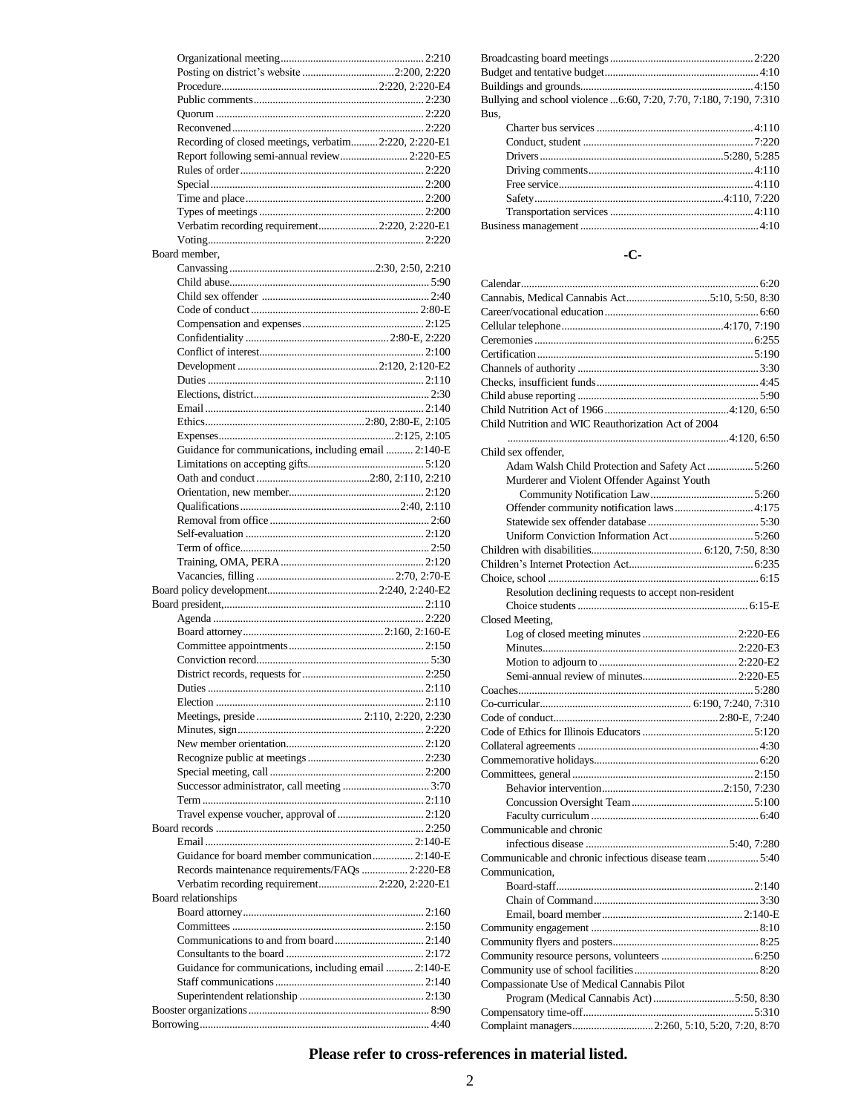| Recording of closed meetings, verbatim2:220, 2:220-E1<br>Report following semi-annual review 2:220-E5 |  |
|-------------------------------------------------------------------------------------------------------|--|
|                                                                                                       |  |
|                                                                                                       |  |
|                                                                                                       |  |
|                                                                                                       |  |
| Verbatim recording requirement2:220, 2:220-E1                                                         |  |
|                                                                                                       |  |
| Board member.                                                                                         |  |
|                                                                                                       |  |
|                                                                                                       |  |
|                                                                                                       |  |
|                                                                                                       |  |
|                                                                                                       |  |
|                                                                                                       |  |
|                                                                                                       |  |
|                                                                                                       |  |
|                                                                                                       |  |
|                                                                                                       |  |
|                                                                                                       |  |
|                                                                                                       |  |
| Guidance for communications, including email  2:140-E                                                 |  |
|                                                                                                       |  |
|                                                                                                       |  |
|                                                                                                       |  |
|                                                                                                       |  |
|                                                                                                       |  |
|                                                                                                       |  |
|                                                                                                       |  |
|                                                                                                       |  |
|                                                                                                       |  |
|                                                                                                       |  |
|                                                                                                       |  |
|                                                                                                       |  |
|                                                                                                       |  |
|                                                                                                       |  |
|                                                                                                       |  |
|                                                                                                       |  |
|                                                                                                       |  |
|                                                                                                       |  |
|                                                                                                       |  |
|                                                                                                       |  |
|                                                                                                       |  |
|                                                                                                       |  |
|                                                                                                       |  |
|                                                                                                       |  |
|                                                                                                       |  |
|                                                                                                       |  |
|                                                                                                       |  |
|                                                                                                       |  |
| Guidance for board member communication 2:140-E                                                       |  |
| Records maintenance requirements/FAQs  2:220-E8                                                       |  |
| Verbatim recording requirement2:220, 2:220-E1                                                         |  |
| Board relationships                                                                                   |  |
|                                                                                                       |  |
|                                                                                                       |  |
|                                                                                                       |  |
|                                                                                                       |  |
| Guidance for communications, including email  2:140-E                                                 |  |
|                                                                                                       |  |
|                                                                                                       |  |

| Bullying and school violence 6:60, 7:20, 7:70, 7:180, 7:190, 7:310 |  |
|--------------------------------------------------------------------|--|
| Bus,                                                               |  |
|                                                                    |  |
|                                                                    |  |
|                                                                    |  |
|                                                                    |  |
|                                                                    |  |
|                                                                    |  |

#### **-C-**

Transportation services.....................................................4:110 Business management ..................................................................4:10

| Cannabis, Medical Cannabis Act5:10, 5:50, 8:30       |  |
|------------------------------------------------------|--|
|                                                      |  |
|                                                      |  |
|                                                      |  |
|                                                      |  |
|                                                      |  |
|                                                      |  |
|                                                      |  |
|                                                      |  |
| Child Nutrition and WIC Reauthorization Act of 2004  |  |
|                                                      |  |
| Child sex offender.                                  |  |
| Adam Walsh Child Protection and Safety Act  5:260    |  |
| Murderer and Violent Offender Against Youth          |  |
|                                                      |  |
|                                                      |  |
| Offender community notification laws 4:175           |  |
|                                                      |  |
|                                                      |  |
|                                                      |  |
|                                                      |  |
|                                                      |  |
| Resolution declining requests to accept non-resident |  |
|                                                      |  |
| Closed Meeting,                                      |  |
|                                                      |  |
|                                                      |  |
|                                                      |  |
|                                                      |  |
|                                                      |  |
|                                                      |  |
|                                                      |  |
|                                                      |  |
|                                                      |  |
|                                                      |  |
|                                                      |  |
|                                                      |  |
|                                                      |  |
|                                                      |  |
| Communicable and chronic                             |  |
|                                                      |  |
| Communicable and chronic infectious disease team5:40 |  |
|                                                      |  |
| Communication.                                       |  |
|                                                      |  |
|                                                      |  |
|                                                      |  |
|                                                      |  |
|                                                      |  |
|                                                      |  |
|                                                      |  |
| Compassionate Use of Medical Cannabis Pilot          |  |
| Program (Medical Cannabis Act) 5:50, 8:30            |  |
|                                                      |  |
| Complaint managers 2:260, 5:10, 5:20, 7:20, 8:70     |  |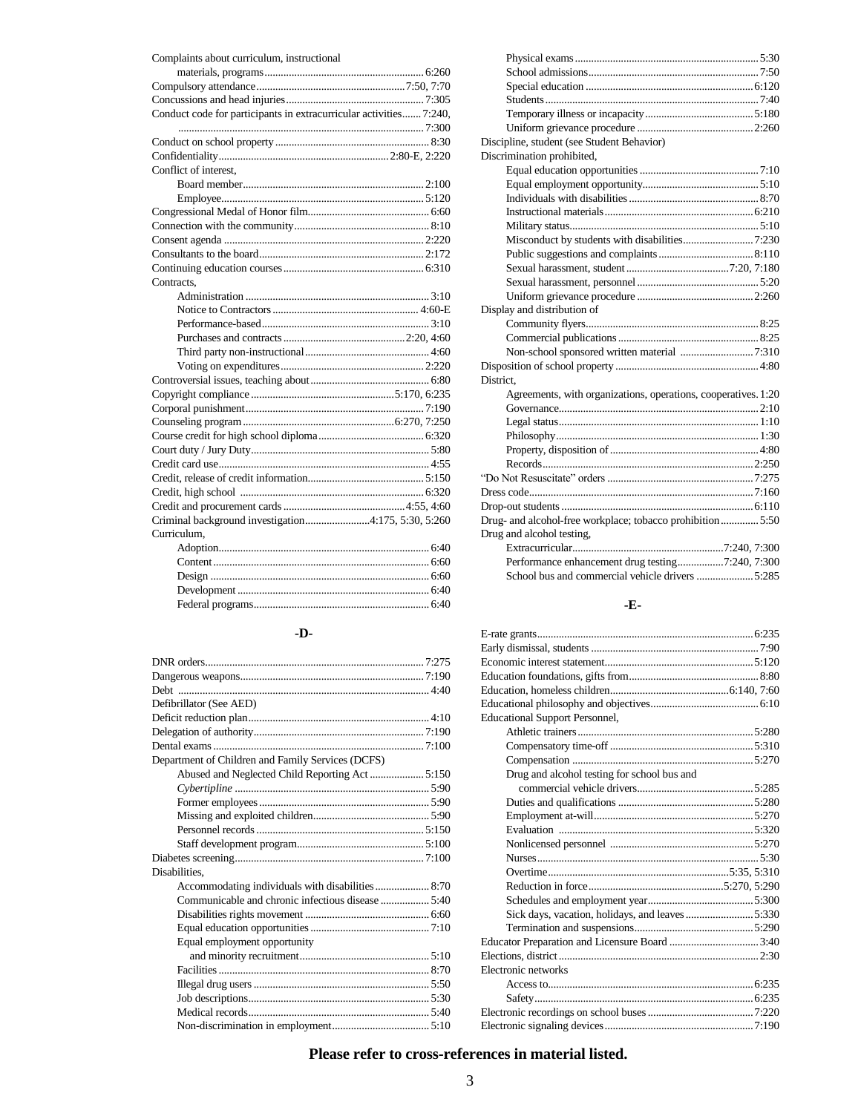| Complaints about curriculum, instructional                         |
|--------------------------------------------------------------------|
|                                                                    |
|                                                                    |
|                                                                    |
| Conduct code for participants in extracurricular activities 7:240, |
|                                                                    |
|                                                                    |
|                                                                    |
| Conflict of interest.                                              |
|                                                                    |
|                                                                    |
|                                                                    |
|                                                                    |
|                                                                    |
|                                                                    |
|                                                                    |
| Contracts.                                                         |
|                                                                    |
|                                                                    |
|                                                                    |
|                                                                    |
|                                                                    |
|                                                                    |
|                                                                    |
|                                                                    |
|                                                                    |
|                                                                    |
|                                                                    |
|                                                                    |
|                                                                    |
|                                                                    |
|                                                                    |
|                                                                    |
| Criminal background investigation4:175, 5:30, 5:260                |
| Curriculum,                                                        |
|                                                                    |
|                                                                    |
|                                                                    |
|                                                                    |
|                                                                    |

#### **-D-**

| Defibrillator (See AED)                           |  |
|---------------------------------------------------|--|
|                                                   |  |
|                                                   |  |
|                                                   |  |
| Department of Children and Family Services (DCFS) |  |
| Abused and Neglected Child Reporting Act  5:150   |  |
|                                                   |  |
|                                                   |  |
|                                                   |  |
|                                                   |  |
|                                                   |  |
|                                                   |  |
| Disabilities.                                     |  |
|                                                   |  |
|                                                   |  |
|                                                   |  |
|                                                   |  |
| Equal employment opportunity                      |  |
|                                                   |  |
|                                                   |  |
|                                                   |  |
|                                                   |  |
|                                                   |  |
|                                                   |  |

| Discipline, student (see Student Behavior)                     |
|----------------------------------------------------------------|
| Discrimination prohibited,                                     |
|                                                                |
|                                                                |
|                                                                |
|                                                                |
|                                                                |
|                                                                |
|                                                                |
|                                                                |
|                                                                |
|                                                                |
| Display and distribution of                                    |
|                                                                |
|                                                                |
|                                                                |
|                                                                |
| District.                                                      |
| Agreements, with organizations, operations, cooperatives. 1:20 |
|                                                                |
|                                                                |
|                                                                |
|                                                                |
|                                                                |
|                                                                |
|                                                                |
|                                                                |
| Drug- and alcohol-free workplace; tobacco prohibition 5:50     |
| Drug and alcohol testing,                                      |
|                                                                |
| Performance enhancement drug testing7:240, 7:300               |
| School bus and commercial vehicle drivers 5:285                |

## **-E-**

| <b>Educational Support Personnel,</b>            |  |
|--------------------------------------------------|--|
|                                                  |  |
|                                                  |  |
|                                                  |  |
| Drug and alcohol testing for school bus and      |  |
|                                                  |  |
|                                                  |  |
|                                                  |  |
|                                                  |  |
|                                                  |  |
|                                                  |  |
|                                                  |  |
|                                                  |  |
|                                                  |  |
| Sick days, vacation, holidays, and leaves  5:330 |  |
|                                                  |  |
|                                                  |  |
|                                                  |  |
| Electronic networks                              |  |
|                                                  |  |
|                                                  |  |
|                                                  |  |
|                                                  |  |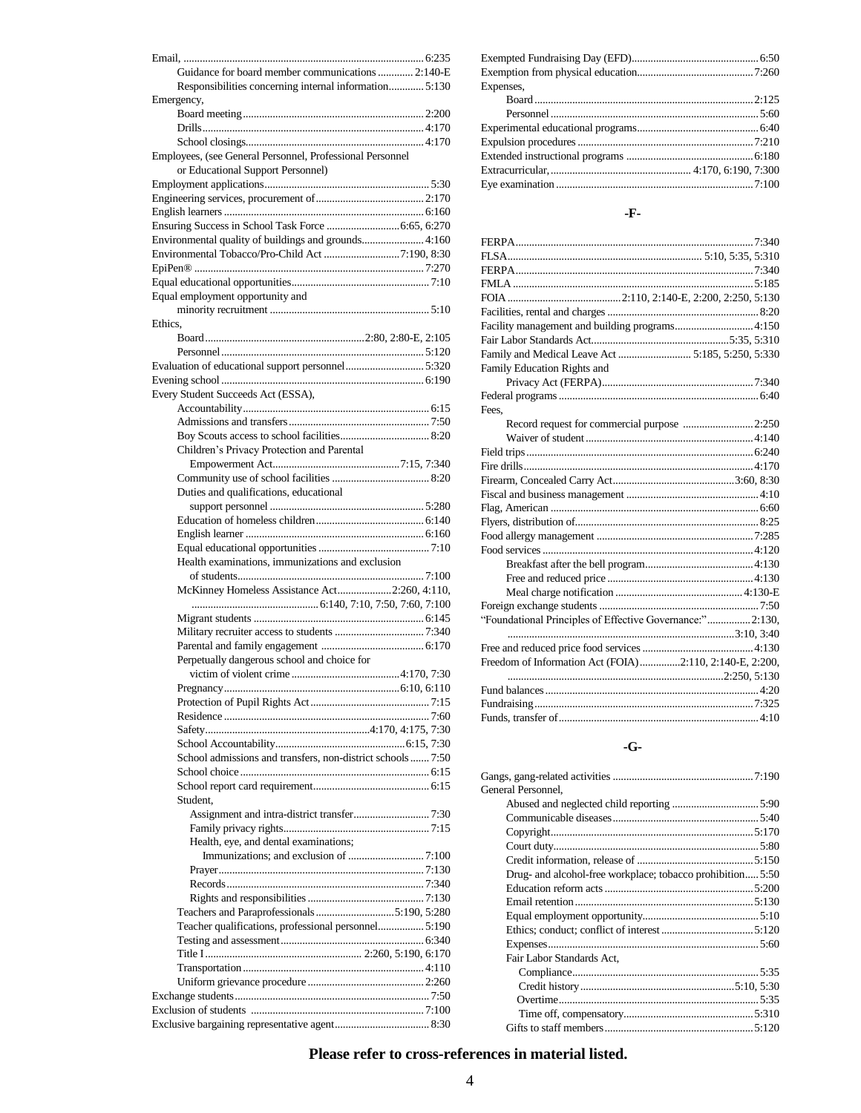| Guidance for board member communications  2:140-E           |  |
|-------------------------------------------------------------|--|
| Responsibilities concerning internal information 5:130      |  |
| Emergency,                                                  |  |
|                                                             |  |
|                                                             |  |
| Employees, (see General Personnel, Professional Personnel   |  |
| or Educational Support Personnel)                           |  |
|                                                             |  |
|                                                             |  |
|                                                             |  |
|                                                             |  |
| Environmental quality of buildings and grounds 4:160        |  |
|                                                             |  |
|                                                             |  |
|                                                             |  |
| Equal employment opportunity and                            |  |
|                                                             |  |
| Ethics.                                                     |  |
|                                                             |  |
|                                                             |  |
| Evaluation of educational support personnel5:320            |  |
|                                                             |  |
| Every Student Succeeds Act (ESSA),                          |  |
|                                                             |  |
|                                                             |  |
| Children's Privacy Protection and Parental                  |  |
|                                                             |  |
|                                                             |  |
| Duties and qualifications, educational                      |  |
|                                                             |  |
|                                                             |  |
|                                                             |  |
|                                                             |  |
| Health examinations, immunizations and exclusion            |  |
|                                                             |  |
| McKinney Homeless Assistance Act2:260, 4:110,               |  |
|                                                             |  |
|                                                             |  |
|                                                             |  |
|                                                             |  |
| Perpetually dangerous school and choice for                 |  |
|                                                             |  |
|                                                             |  |
|                                                             |  |
|                                                             |  |
|                                                             |  |
| School admissions and transfers, non-district schools  7:50 |  |
|                                                             |  |
|                                                             |  |
| Student,                                                    |  |
|                                                             |  |
|                                                             |  |
| Health, eye, and dental examinations;                       |  |
|                                                             |  |
|                                                             |  |
|                                                             |  |
|                                                             |  |
|                                                             |  |
| Teacher qualifications, professional personnel5:190         |  |
|                                                             |  |
|                                                             |  |
|                                                             |  |
|                                                             |  |
|                                                             |  |
|                                                             |  |
|                                                             |  |

| Expenses, |  |
|-----------|--|
|           |  |
|           |  |
|           |  |
|           |  |
|           |  |
|           |  |
|           |  |

#### **-F-**

| Facility management and building programs 4:150           |
|-----------------------------------------------------------|
|                                                           |
| Family and Medical Leave Act  5:185, 5:250, 5:330         |
| Family Education Rights and                               |
|                                                           |
|                                                           |
| Fees.                                                     |
| Record request for commercial purpose 2:250               |
|                                                           |
|                                                           |
|                                                           |
|                                                           |
|                                                           |
|                                                           |
|                                                           |
|                                                           |
|                                                           |
|                                                           |
|                                                           |
|                                                           |
|                                                           |
| "Foundational Principles of Effective Governance:" 2:130, |
|                                                           |
|                                                           |
| Freedom of Information Act (FOIA)2:110, 2:140-E, 2:200,   |
|                                                           |
|                                                           |
|                                                           |
|                                                           |

#### **-G-**

| General Personnel.                                         |
|------------------------------------------------------------|
|                                                            |
|                                                            |
|                                                            |
|                                                            |
|                                                            |
| Drug- and alcohol-free workplace; tobacco prohibition 5:50 |
|                                                            |
|                                                            |
|                                                            |
|                                                            |
|                                                            |
| Fair Labor Standards Act.                                  |
|                                                            |
|                                                            |
|                                                            |
|                                                            |
|                                                            |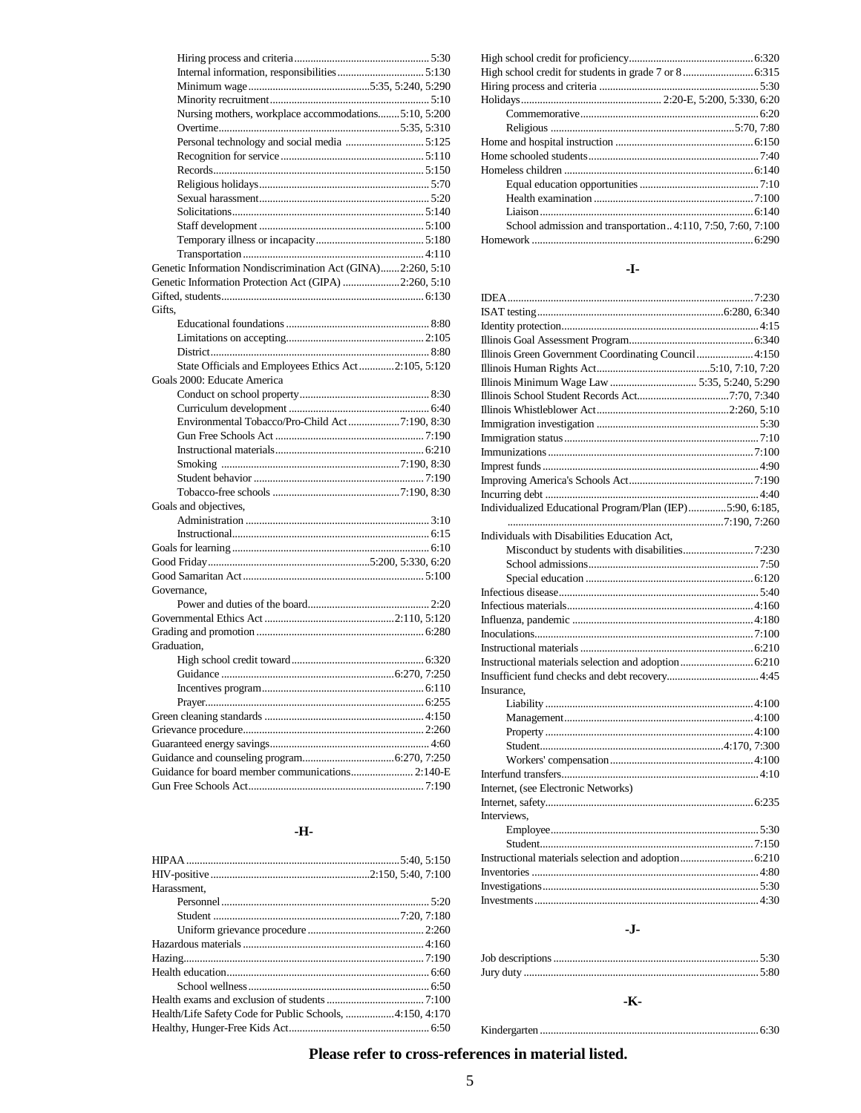| Nursing mothers, workplace accommodations5:10, 5:200        |
|-------------------------------------------------------------|
|                                                             |
|                                                             |
|                                                             |
|                                                             |
|                                                             |
|                                                             |
|                                                             |
|                                                             |
|                                                             |
|                                                             |
|                                                             |
| Genetic Information Nondiscrimination Act (GINA)2:260, 5:10 |
| Genetic Information Protection Act (GIPA) 2:260, 5:10       |
|                                                             |
| Gifts.                                                      |
|                                                             |
|                                                             |
|                                                             |
| State Officials and Employees Ethics Act2:105, 5:120        |
| Goals 2000: Educate America                                 |
|                                                             |
|                                                             |
| Environmental Tobacco/Pro-Child Act7:190, 8:30              |
|                                                             |
|                                                             |
|                                                             |
|                                                             |
|                                                             |
|                                                             |
| Goals and objectives,                                       |
|                                                             |
|                                                             |
|                                                             |
|                                                             |
|                                                             |
| Governance,                                                 |
|                                                             |
|                                                             |
|                                                             |
| Graduation.                                                 |
|                                                             |
|                                                             |
|                                                             |
|                                                             |
|                                                             |
|                                                             |
|                                                             |
|                                                             |
|                                                             |
| Guidance for board member communications 2:140-E            |
|                                                             |

## **-H-**

| Harassment,                                              |  |
|----------------------------------------------------------|--|
|                                                          |  |
|                                                          |  |
|                                                          |  |
|                                                          |  |
|                                                          |  |
|                                                          |  |
|                                                          |  |
|                                                          |  |
| Health/Life Safety Code for Public Schools, 4:150, 4:170 |  |
|                                                          |  |

| School admission and transportation4:110, 7:50, 7:60, 7:100 |  |
|-------------------------------------------------------------|--|
|                                                             |  |

#### **-I-**

| Illinois Green Government Coordinating Council 4:150      |  |
|-----------------------------------------------------------|--|
|                                                           |  |
|                                                           |  |
|                                                           |  |
|                                                           |  |
|                                                           |  |
|                                                           |  |
|                                                           |  |
|                                                           |  |
|                                                           |  |
|                                                           |  |
| Individualized Educational Program/Plan (IEP)5:90, 6:185, |  |
|                                                           |  |
| Individuals with Disabilities Education Act,              |  |
|                                                           |  |
|                                                           |  |
|                                                           |  |
|                                                           |  |
|                                                           |  |
|                                                           |  |
|                                                           |  |
|                                                           |  |
|                                                           |  |
|                                                           |  |
| Insurance,                                                |  |
|                                                           |  |
|                                                           |  |
|                                                           |  |
|                                                           |  |
|                                                           |  |
|                                                           |  |
| Internet, (see Electronic Networks)                       |  |
|                                                           |  |
| Interviews,                                               |  |
|                                                           |  |
|                                                           |  |
|                                                           |  |
|                                                           |  |
|                                                           |  |
|                                                           |  |
|                                                           |  |

#### **-J-**

## **-K-**

#### Kindergarten .................................................................................6:30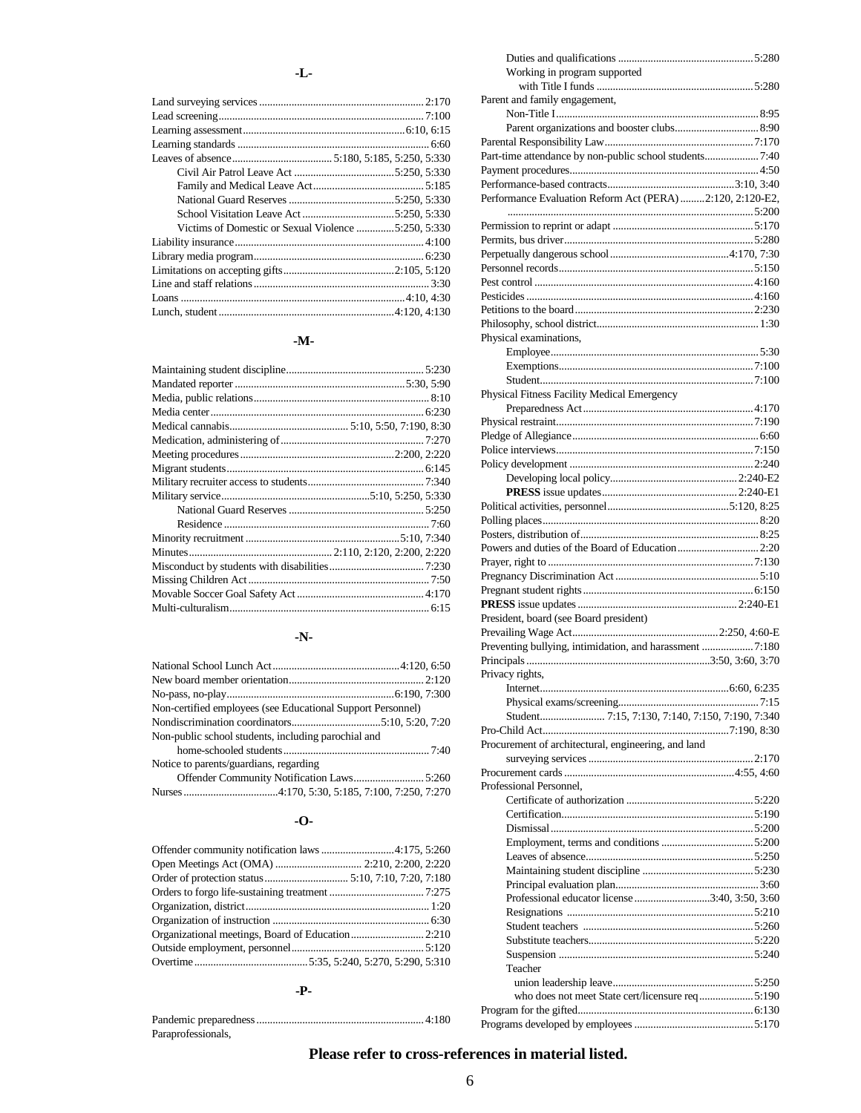#### **-L-**

| Victims of Domestic or Sexual Violence 5:250, 5:330 |  |
|-----------------------------------------------------|--|
|                                                     |  |
|                                                     |  |
|                                                     |  |
|                                                     |  |
|                                                     |  |
|                                                     |  |

#### **-M-**

#### **-N-**

| Non-certified employees (see Educational Support Personnel) |  |
|-------------------------------------------------------------|--|
|                                                             |  |
| Non-public school students, including parochial and         |  |
|                                                             |  |
| Notice to parents/guardians, regarding                      |  |
|                                                             |  |
|                                                             |  |

#### **-O-**

| Open Meetings Act (OMA)  2:210, 2:200, 2:220 |  |
|----------------------------------------------|--|
|                                              |  |
|                                              |  |
|                                              |  |
|                                              |  |
|                                              |  |
|                                              |  |
|                                              |  |

#### **-P-**

| Paraprofessionals, |  |
|--------------------|--|

# **Please refer to cross-references in material listed.**

| Working in program supported                              |  |
|-----------------------------------------------------------|--|
|                                                           |  |
| Parent and family engagement,                             |  |
|                                                           |  |
|                                                           |  |
|                                                           |  |
|                                                           |  |
|                                                           |  |
|                                                           |  |
| Performance Evaluation Reform Act (PERA) 2:120, 2:120-E2, |  |
|                                                           |  |
|                                                           |  |
|                                                           |  |
|                                                           |  |
|                                                           |  |
|                                                           |  |
|                                                           |  |
|                                                           |  |
|                                                           |  |
| Physical examinations,                                    |  |
|                                                           |  |
|                                                           |  |
|                                                           |  |
| Physical Fitness Facility Medical Emergency               |  |
|                                                           |  |
|                                                           |  |
|                                                           |  |
|                                                           |  |
|                                                           |  |
|                                                           |  |
|                                                           |  |
|                                                           |  |
|                                                           |  |
| Powers and duties of the Board of Education2:20           |  |
|                                                           |  |
|                                                           |  |
|                                                           |  |
|                                                           |  |
| President, board (see Board president)                    |  |
|                                                           |  |
| Preventing bullying, intimidation, and harassment 7:180   |  |
|                                                           |  |
| Privacy rights,                                           |  |
|                                                           |  |
|                                                           |  |
|                                                           |  |
|                                                           |  |
| Procurement of architectural, engineering, and land       |  |
|                                                           |  |
|                                                           |  |
| Professional Personnel.                                   |  |
|                                                           |  |
|                                                           |  |
|                                                           |  |
|                                                           |  |
|                                                           |  |
|                                                           |  |
|                                                           |  |
| Professional educator license 3:40, 3:50, 3:60            |  |
|                                                           |  |
|                                                           |  |
|                                                           |  |
|                                                           |  |
| Teacher                                                   |  |
|                                                           |  |
| who does not meet State cert/licensure req5:190           |  |
|                                                           |  |
|                                                           |  |
|                                                           |  |

Duties and qualifications ..................................................5:280

#### 6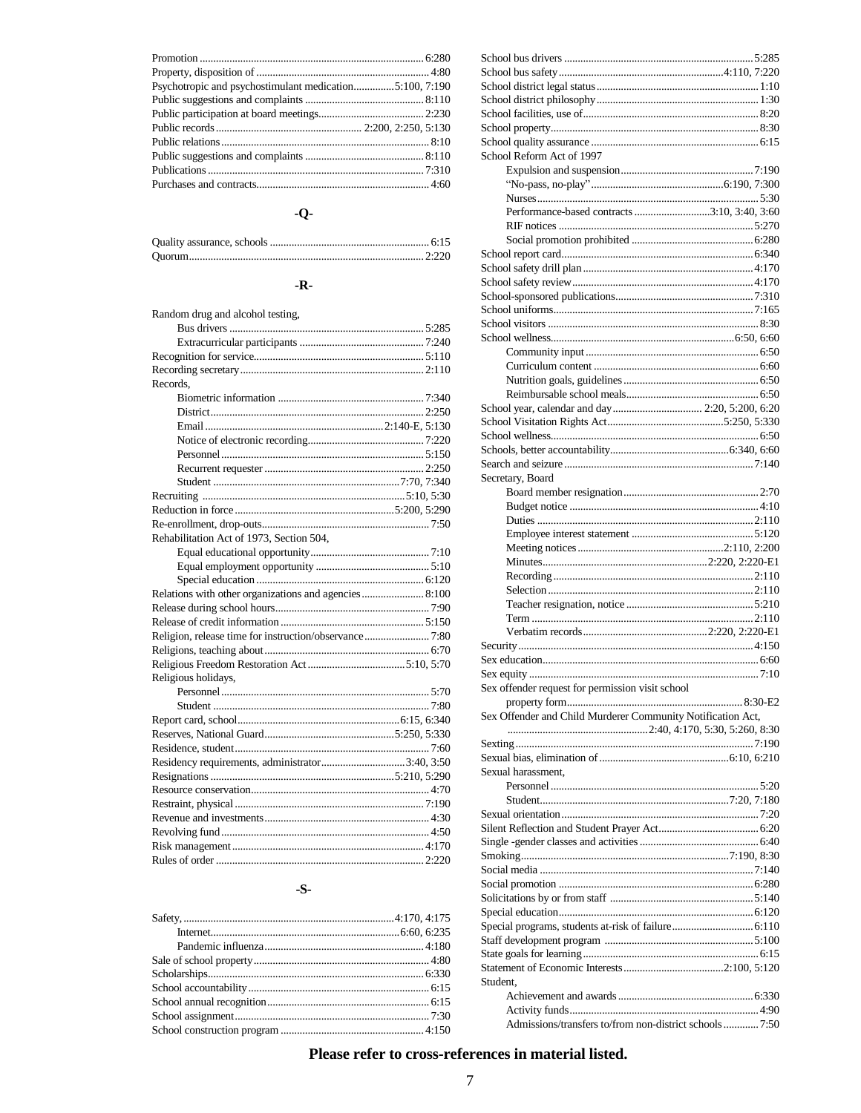#### $-Q-$

#### - $\mathbf{R}$ -

| Random drug and alcohol testing,                       |  |
|--------------------------------------------------------|--|
|                                                        |  |
|                                                        |  |
|                                                        |  |
|                                                        |  |
| Records,                                               |  |
|                                                        |  |
|                                                        |  |
|                                                        |  |
|                                                        |  |
|                                                        |  |
|                                                        |  |
|                                                        |  |
|                                                        |  |
|                                                        |  |
|                                                        |  |
| Rehabilitation Act of 1973, Section 504,               |  |
|                                                        |  |
|                                                        |  |
|                                                        |  |
|                                                        |  |
|                                                        |  |
|                                                        |  |
| Religion, release time for instruction/observance 7:80 |  |
|                                                        |  |
|                                                        |  |
| Religious holidays,                                    |  |
|                                                        |  |
|                                                        |  |
|                                                        |  |
|                                                        |  |
|                                                        |  |
|                                                        |  |
|                                                        |  |
|                                                        |  |
|                                                        |  |
|                                                        |  |
|                                                        |  |
|                                                        |  |
|                                                        |  |

#### $-S-$

| School Reform Act of 1997                                   |  |
|-------------------------------------------------------------|--|
|                                                             |  |
|                                                             |  |
| Performance-based contracts 3:10, 3:40, 3:60                |  |
|                                                             |  |
|                                                             |  |
|                                                             |  |
|                                                             |  |
|                                                             |  |
|                                                             |  |
|                                                             |  |
|                                                             |  |
|                                                             |  |
|                                                             |  |
|                                                             |  |
|                                                             |  |
|                                                             |  |
|                                                             |  |
|                                                             |  |
|                                                             |  |
|                                                             |  |
|                                                             |  |
| Secretary, Board                                            |  |
|                                                             |  |
|                                                             |  |
|                                                             |  |
|                                                             |  |
|                                                             |  |
|                                                             |  |
|                                                             |  |
|                                                             |  |
|                                                             |  |
|                                                             |  |
|                                                             |  |
|                                                             |  |
|                                                             |  |
|                                                             |  |
|                                                             |  |
| Sex offender request for permission visit school            |  |
|                                                             |  |
| Sex Offender and Child Murderer Community Notification Act, |  |
|                                                             |  |
|                                                             |  |
|                                                             |  |
| Sexual harassment.                                          |  |
|                                                             |  |
|                                                             |  |
|                                                             |  |
|                                                             |  |
|                                                             |  |
|                                                             |  |
|                                                             |  |
|                                                             |  |
|                                                             |  |
|                                                             |  |
|                                                             |  |
|                                                             |  |
|                                                             |  |
|                                                             |  |
| Student.                                                    |  |
|                                                             |  |
| Admissions/transfers to/from non-district schools  7:50     |  |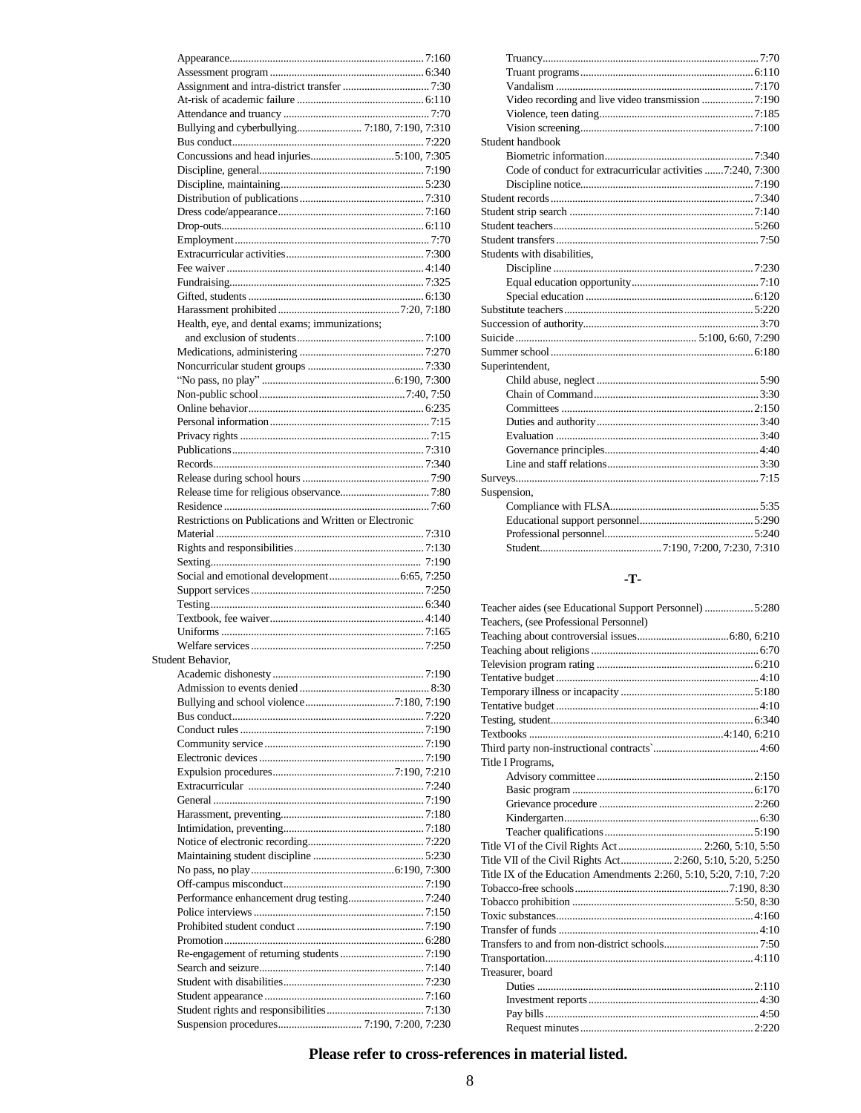| Health, eye, and dental exams; immunizations;          |  |
|--------------------------------------------------------|--|
|                                                        |  |
|                                                        |  |
|                                                        |  |
|                                                        |  |
|                                                        |  |
|                                                        |  |
|                                                        |  |
|                                                        |  |
|                                                        |  |
|                                                        |  |
|                                                        |  |
|                                                        |  |
|                                                        |  |
| Restrictions on Publications and Written or Electronic |  |
|                                                        |  |
|                                                        |  |
|                                                        |  |
|                                                        |  |
|                                                        |  |
|                                                        |  |
|                                                        |  |
|                                                        |  |
|                                                        |  |
| Student Behavior,                                      |  |
|                                                        |  |
|                                                        |  |
|                                                        |  |
|                                                        |  |
|                                                        |  |
|                                                        |  |
|                                                        |  |
|                                                        |  |
|                                                        |  |
|                                                        |  |
|                                                        |  |
|                                                        |  |
|                                                        |  |
|                                                        |  |
|                                                        |  |
|                                                        |  |
|                                                        |  |
|                                                        |  |
|                                                        |  |
|                                                        |  |
|                                                        |  |
|                                                        |  |
|                                                        |  |
|                                                        |  |
|                                                        |  |
| Suspension procedures 7:190, 7:200, 7:230              |  |

| Student handbook                                            |  |
|-------------------------------------------------------------|--|
|                                                             |  |
| Code of conduct for extracurricular activities 7:240, 7:300 |  |
|                                                             |  |
|                                                             |  |
|                                                             |  |
|                                                             |  |
|                                                             |  |
| Students with disabilities,                                 |  |
|                                                             |  |
|                                                             |  |
|                                                             |  |
|                                                             |  |
|                                                             |  |
|                                                             |  |
|                                                             |  |
| Superintendent,                                             |  |
|                                                             |  |
|                                                             |  |
|                                                             |  |
|                                                             |  |
|                                                             |  |
|                                                             |  |
|                                                             |  |
|                                                             |  |
| Suspension,                                                 |  |
|                                                             |  |
|                                                             |  |
|                                                             |  |
|                                                             |  |
|                                                             |  |

## $-T$ -

| Teacher aides (see Educational Support Personnel)  5:280           |
|--------------------------------------------------------------------|
| Teachers, (see Professional Personnel)                             |
|                                                                    |
|                                                                    |
|                                                                    |
|                                                                    |
|                                                                    |
|                                                                    |
|                                                                    |
|                                                                    |
|                                                                    |
| Title I Programs,                                                  |
|                                                                    |
|                                                                    |
|                                                                    |
|                                                                    |
|                                                                    |
| Title VI of the Civil Rights Act 2:260, 5:10, 5:50                 |
| Title VII of the Civil Rights Act 2:260, 5:10, 5:20, 5:250         |
| Title IX of the Education Amendments 2:260, 5:10, 5:20, 7:10, 7:20 |
|                                                                    |
|                                                                    |
|                                                                    |
|                                                                    |
|                                                                    |
|                                                                    |
| Treasurer, board                                                   |
|                                                                    |
|                                                                    |
|                                                                    |
|                                                                    |